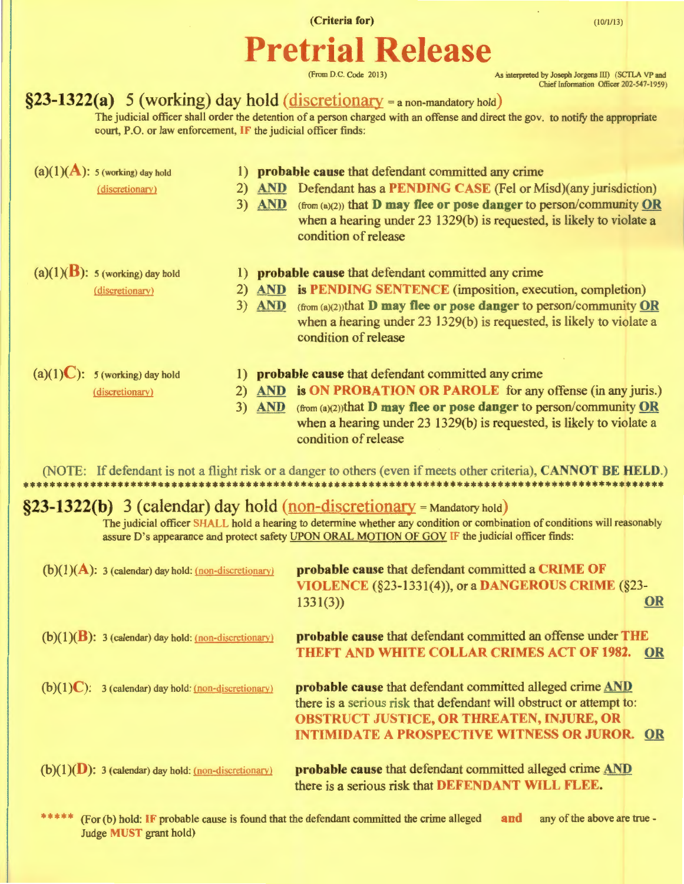(Criteria for)

 $(10/1/13)$ 

# **Pretrial Release**

(From D.C. Code 2013)

As interpreted by Joseph Jorgens III) (SCTLA VP and Chief Information Officer 202-547-1959 )

## $§23-1322(a)$  5 (working) day hold (discretionary = a non-mandatory hold)

The judicial officer shall order the detention of a person charged with an offense and direct the gov. to notify the appropriate court, P.O. or law enforcement, IF the judicial officer finds:

|                                                                                                                           | $(a)(1)(A)$ : 5 (working) day hold                       | $\bf{D}$ |          | probable cause that defendant committed any crime                                                                                                         |    |
|---------------------------------------------------------------------------------------------------------------------------|----------------------------------------------------------|----------|----------|-----------------------------------------------------------------------------------------------------------------------------------------------------------|----|
|                                                                                                                           | (discretionary)                                          | 2)       |          | AND Defendant has a PENDING CASE (Fel or Misd)(any jurisdiction)                                                                                          |    |
|                                                                                                                           |                                                          |          | 3) AND   | $(\text{from (a)(2)})$ that <b>D</b> may flee or pose danger to person/community OR                                                                       |    |
|                                                                                                                           |                                                          |          |          | when a hearing under 23 1329(b) is requested, is likely to violate a                                                                                      |    |
|                                                                                                                           |                                                          |          |          | condition of release                                                                                                                                      |    |
| $(a)(1)(B)$ : 5 (working) day hold                                                                                        |                                                          |          |          |                                                                                                                                                           |    |
|                                                                                                                           |                                                          | $_{1}$   |          | probable cause that defendant committed any crime                                                                                                         |    |
|                                                                                                                           | (discretionary)                                          | 2)       | $3)$ AND | <b>AND</b> is <b>PENDING SENTENCE</b> (imposition, execution, completion)<br>$(from (a)(2))$ that <b>D</b> may flee or pose danger to person/community OR |    |
|                                                                                                                           |                                                          |          |          | when a hearing under 23 1329(b) is requested, is likely to violate a                                                                                      |    |
|                                                                                                                           |                                                          |          |          | condition of release                                                                                                                                      |    |
|                                                                                                                           |                                                          |          |          |                                                                                                                                                           |    |
|                                                                                                                           | $(a)(1)C$ : 5 (working) day hold                         |          |          | 1) probable cause that defendant committed any crime                                                                                                      |    |
|                                                                                                                           | (discretionary)                                          |          |          | 2) AND is ON PROBATION OR PAROLE for any offense (in any juris.)                                                                                          |    |
|                                                                                                                           |                                                          |          |          | 3) AND (from (a)(2))that D may flee or pose danger to person/community OR                                                                                 |    |
|                                                                                                                           |                                                          |          |          | when a hearing under 23 1329(b) is requested, is likely to violate a                                                                                      |    |
|                                                                                                                           |                                                          |          |          | condition of release                                                                                                                                      |    |
|                                                                                                                           |                                                          |          |          |                                                                                                                                                           |    |
| (NOTE: If defendant is not a flight risk or a danger to others (even if meets other criteria), CANNOT BE HELD.)           |                                                          |          |          |                                                                                                                                                           |    |
| $\S$ 23-1322(b) 3 (calendar) day hold (non-discretionary = Mandatory hold)                                                |                                                          |          |          |                                                                                                                                                           |    |
| The judicial officer SHALL hold a hearing to determine whether any condition or combination of conditions will reasonably |                                                          |          |          |                                                                                                                                                           |    |
| assure D's appearance and protect safety UPON ORAL MOTION OF GOV IF the judicial officer finds:                           |                                                          |          |          |                                                                                                                                                           |    |
|                                                                                                                           |                                                          |          |          |                                                                                                                                                           |    |
|                                                                                                                           | $(b)(1)(A)$ : 3 (calendar) day hold: (non-discretionary) |          |          | probable cause that defendant committed a CRIME OF                                                                                                        |    |
|                                                                                                                           |                                                          |          |          | VIOLENCE (§23-1331(4)), or a DANGEROUS CRIME (§23-                                                                                                        |    |
|                                                                                                                           |                                                          |          |          | 1331(3)                                                                                                                                                   | OR |
| probable cause that defendant committed an offense under THE<br>$(b)(1)(B)$ : 3 (calendar) day hold: (non-discretionary)  |                                                          |          |          |                                                                                                                                                           |    |
|                                                                                                                           |                                                          |          |          | THEFT AND WHITE COLLAR CRIMES ACT OF 1982. OR                                                                                                             |    |
|                                                                                                                           |                                                          |          |          |                                                                                                                                                           |    |
|                                                                                                                           | $(b)(1)C$ : 3 (calendar) day hold: (non-discretionary)   |          |          | probable cause that defendant committed alleged crime AND                                                                                                 |    |
|                                                                                                                           |                                                          |          |          | there is a serious risk that defendant will obstruct or attempt to:                                                                                       |    |
|                                                                                                                           |                                                          |          |          | <b>OBSTRUCT JUSTICE, OR THREATEN, INJURE, OR</b>                                                                                                          |    |
|                                                                                                                           |                                                          |          |          | <b>INTIMIDATE A PROSPECTIVE WITNESS OR JUROR. OR</b>                                                                                                      |    |
|                                                                                                                           |                                                          |          |          |                                                                                                                                                           |    |
|                                                                                                                           | $(b)(1)(D)$ : 3 (calendar) day hold: (non-discretionary) |          |          | probable cause that defendant committed alleged crime AND                                                                                                 |    |
|                                                                                                                           |                                                          |          |          | there is a serious risk that DEFENDANT WILL FLEE.                                                                                                         |    |
|                                                                                                                           |                                                          |          |          |                                                                                                                                                           |    |

\*\*\*\*\* (For (b) hold: IF probable cause is found that the defendant committed the crime alleged and any of the above are true-Judge MUST grant hold)